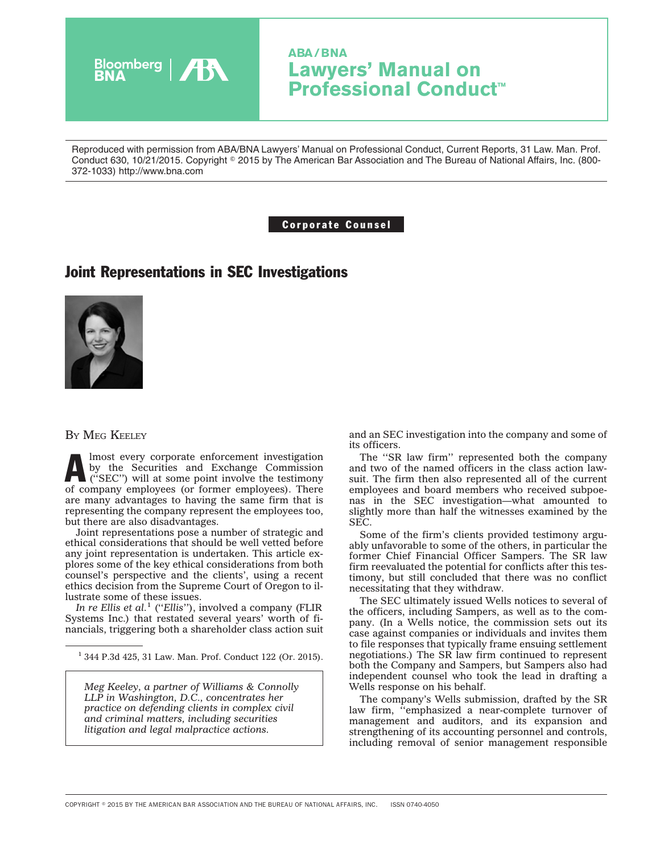

# **ABA/BNA Lawyers' Manual on Professional Conduct™**

Reproduced with permission from ABA/BNA Lawyers' Manual on Professional Conduct, Current Reports, 31 Law. Man. Prof. Conduct 630, 10/21/2015. Copyright © 2015 by The American Bar Association and The Bureau of National Affairs, Inc. (800-372-1033) http://www.bna.com

#### Corporate Counsel

## Joint Representations in SEC Investigations



#### BY MEG KEELEY

Imost every corporate enforcement investigation<br>by the Securities and Exchange Commission<br>("SEC") will at some point involve the testimony by the Securities and Exchange Commission of company employees (or former employees). There are many advantages to having the same firm that is representing the company represent the employees too, but there are also disadvantages.

Joint representations pose a number of strategic and ethical considerations that should be well vetted before any joint representation is undertaken. This article explores some of the key ethical considerations from both counsel's perspective and the clients', using a recent ethics decision from the Supreme Court of Oregon to illustrate some of these issues.

*In re Ellis et al.*<sup>1</sup> (''*Ellis*''), involved a company (FLIR Systems Inc.) that restated several years' worth of financials, triggering both a shareholder class action suit

<sup>1</sup> 344 P.3d 425, 31 Law. Man. Prof. Conduct 122 (Or. 2015).

*Meg Keeley, a partner of Williams & Connolly LLP in Washington, D.C., concentrates her practice on defending clients in complex civil and criminal matters, including securities litigation and legal malpractice actions.*

and an SEC investigation into the company and some of its officers.

The ''SR law firm'' represented both the company and two of the named officers in the class action lawsuit. The firm then also represented all of the current employees and board members who received subpoenas in the SEC investigation—what amounted to slightly more than half the witnesses examined by the SEC.

Some of the firm's clients provided testimony arguably unfavorable to some of the others, in particular the former Chief Financial Officer Sampers. The SR law firm reevaluated the potential for conflicts after this testimony, but still concluded that there was no conflict necessitating that they withdraw.

The SEC ultimately issued Wells notices to several of the officers, including Sampers, as well as to the company. (In a Wells notice, the commission sets out its case against companies or individuals and invites them to file responses that typically frame ensuing settlement negotiations.) The SR law firm continued to represent both the Company and Sampers, but Sampers also had independent counsel who took the lead in drafting a Wells response on his behalf.

The company's Wells submission, drafted by the SR law firm, ''emphasized a near-complete turnover of management and auditors, and its expansion and strengthening of its accounting personnel and controls, including removal of senior management responsible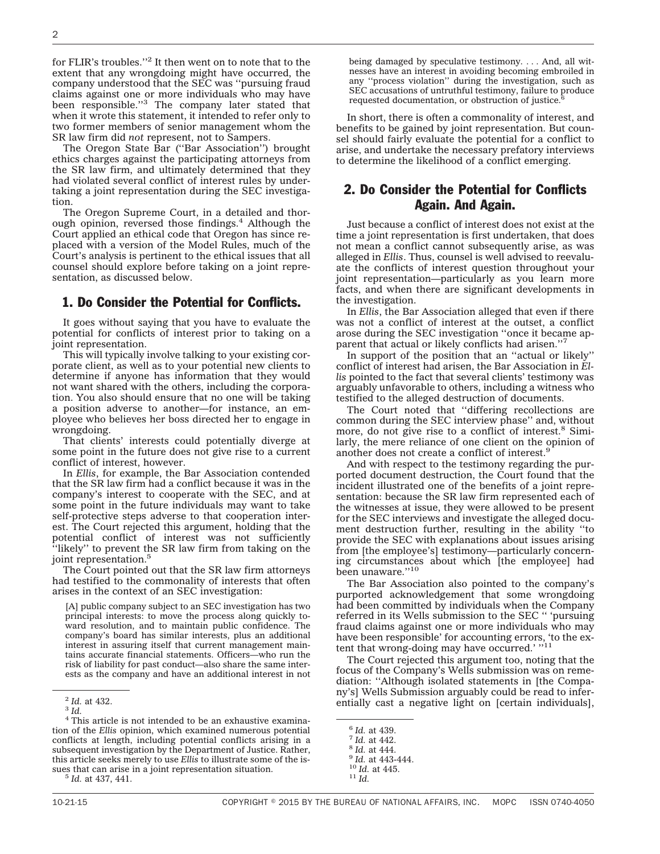for FLIR's troubles.''2 It then went on to note that to the extent that any wrongdoing might have occurred, the company understood that the SEC was ''pursuing fraud claims against one or more individuals who may have been responsible."<sup>3</sup> The company later stated that when it wrote this statement, it intended to refer only to two former members of senior management whom the SR law firm did *not* represent, not to Sampers.

The Oregon State Bar (''Bar Association'') brought ethics charges against the participating attorneys from the SR law firm, and ultimately determined that they had violated several conflict of interest rules by undertaking a joint representation during the SEC investigation.

The Oregon Supreme Court, in a detailed and thorough opinion, reversed those findings. $4$  Although the Court applied an ethical code that Oregon has since replaced with a version of the Model Rules, much of the Court's analysis is pertinent to the ethical issues that all counsel should explore before taking on a joint representation, as discussed below.

#### 1. Do Consider the Potential for Conflicts.

It goes without saying that you have to evaluate the potential for conflicts of interest prior to taking on a joint representation.

This will typically involve talking to your existing corporate client, as well as to your potential new clients to determine if anyone has information that they would not want shared with the others, including the corporation. You also should ensure that no one will be taking a position adverse to another—for instance, an employee who believes her boss directed her to engage in wrongdoing.

That clients' interests could potentially diverge at some point in the future does not give rise to a current conflict of interest, however.

In *Ellis*, for example, the Bar Association contended that the SR law firm had a conflict because it was in the company's interest to cooperate with the SEC, and at some point in the future individuals may want to take self-protective steps adverse to that cooperation interest. The Court rejected this argument, holding that the potential conflict of interest was not sufficiently ''likely'' to prevent the SR law firm from taking on the joint representation.<sup>5</sup>

The Court pointed out that the SR law firm attorneys had testified to the commonality of interests that often arises in the context of an SEC investigation:

[A] public company subject to an SEC investigation has two principal interests: to move the process along quickly toward resolution, and to maintain public confidence. The company's board has similar interests, plus an additional interest in assuring itself that current management maintains accurate financial statements. Officers—who run the risk of liability for past conduct—also share the same interests as the company and have an additional interest in not

being damaged by speculative testimony. . . . And, all witnesses have an interest in avoiding becoming embroiled in any ''process violation'' during the investigation, such as SEC accusations of untruthful testimony, failure to produce requested documentation, or obstruction of justice.6

In short, there is often a commonality of interest, and benefits to be gained by joint representation. But counsel should fairly evaluate the potential for a conflict to arise, and undertake the necessary prefatory interviews to determine the likelihood of a conflict emerging.

### 2. Do Consider the Potential for Conflicts Again. And Again.

Just because a conflict of interest does not exist at the time a joint representation is first undertaken, that does not mean a conflict cannot subsequently arise, as was alleged in *Ellis*. Thus, counsel is well advised to reevaluate the conflicts of interest question throughout your joint representation—particularly as you learn more facts, and when there are significant developments in the investigation.

In *Ellis*, the Bar Association alleged that even if there was not a conflict of interest at the outset, a conflict arose during the SEC investigation ''once it became apparent that actual or likely conflicts had arisen."<sup>7</sup>

In support of the position that an ''actual or likely'' conflict of interest had arisen, the Bar Association in *Ellis* pointed to the fact that several clients' testimony was arguably unfavorable to others, including a witness who testified to the alleged destruction of documents.

The Court noted that ''differing recollections are common during the SEC interview phase'' and, without more, do not give rise to a conflict of interest.<sup>8</sup> Similarly, the mere reliance of one client on the opinion of another does not create a conflict of interest.<sup>9</sup>

And with respect to the testimony regarding the purported document destruction, the Court found that the incident illustrated one of the benefits of a joint representation: because the SR law firm represented each of the witnesses at issue, they were allowed to be present for the SEC interviews and investigate the alleged document destruction further, resulting in the ability ''to provide the SEC with explanations about issues arising from [the employee's] testimony—particularly concerning circumstances about which [the employee] had been unaware."<sup>10</sup>

The Bar Association also pointed to the company's purported acknowledgement that some wrongdoing had been committed by individuals when the Company referred in its Wells submission to the SEC '' 'pursuing fraud claims against one or more individuals who may have been responsible' for accounting errors, 'to the ex-<br>tent that wrong-doing may have occurred.' ''<sup>11</sup>

The Court rejected this argument too, noting that the focus of the Company's Wells submission was on remediation: ''Although isolated statements in [the Company's] Wells Submission arguably could be read to inferentially cast a negative light on [certain individuals], <sup>2</sup> *Id.* at 432. <sup>3</sup> *Id.*

<sup>6</sup> *Id.* at 439. <sup>7</sup> *Id.* at 442. <sup>8</sup> *Id.* at 444. <sup>9</sup> *Id.* at 443-444. <sup>10</sup> *Id.* at 445. <sup>11</sup> *Id.*

<sup>&</sup>lt;sup>4</sup> This article is not intended to be an exhaustive examination of the *Ellis* opinion, which examined numerous potential conflicts at length, including potential conflicts arising in a subsequent investigation by the Department of Justice. Rather, this article seeks merely to use *Ellis* to illustrate some of the issues that can arise in a joint representation situation. <sup>5</sup> *Id.* at 437, 441.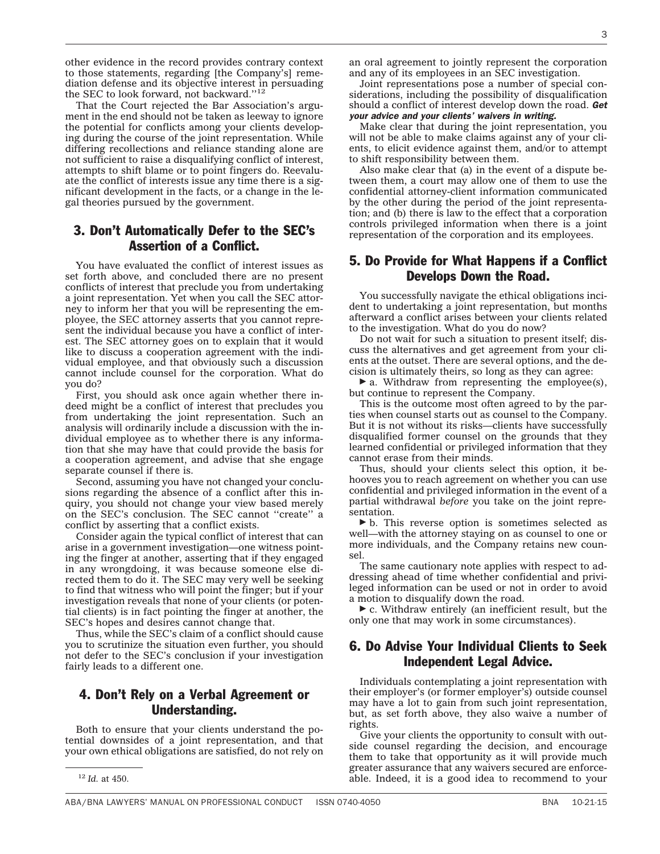other evidence in the record provides contrary context to those statements, regarding [the Company's] remediation defense and its objective interest in persuading the SEC to look forward, not backward.''12

That the Court rejected the Bar Association's argument in the end should not be taken as leeway to ignore the potential for conflicts among your clients developing during the course of the joint representation. While differing recollections and reliance standing alone are not sufficient to raise a disqualifying conflict of interest, attempts to shift blame or to point fingers do. Reevaluate the conflict of interests issue any time there is a significant development in the facts, or a change in the legal theories pursued by the government.

### 3. Don't Automatically Defer to the SEC's Assertion of a Conflict.

You have evaluated the conflict of interest issues as set forth above, and concluded there are no present conflicts of interest that preclude you from undertaking a joint representation. Yet when you call the SEC attorney to inform her that you will be representing the employee, the SEC attorney asserts that you cannot represent the individual because you have a conflict of interest. The SEC attorney goes on to explain that it would like to discuss a cooperation agreement with the individual employee, and that obviously such a discussion cannot include counsel for the corporation. What do you do?

First, you should ask once again whether there indeed might be a conflict of interest that precludes you from undertaking the joint representation. Such an analysis will ordinarily include a discussion with the individual employee as to whether there is any information that she may have that could provide the basis for a cooperation agreement, and advise that she engage separate counsel if there is.

Second, assuming you have not changed your conclusions regarding the absence of a conflict after this inquiry, you should not change your view based merely on the SEC's conclusion. The SEC cannot ''create'' a conflict by asserting that a conflict exists.

Consider again the typical conflict of interest that can arise in a government investigation—one witness pointing the finger at another, asserting that if they engaged in any wrongdoing, it was because someone else directed them to do it. The SEC may very well be seeking to find that witness who will point the finger; but if your investigation reveals that none of your clients (or potential clients) is in fact pointing the finger at another, the SEC's hopes and desires cannot change that.

Thus, while the SEC's claim of a conflict should cause you to scrutinize the situation even further, you should not defer to the SEC's conclusion if your investigation fairly leads to a different one.

### 4. Don't Rely on a Verbal Agreement or Understanding.

Both to ensure that your clients understand the potential downsides of a joint representation, and that your own ethical obligations are satisfied, do not rely on

an oral agreement to jointly represent the corporation and any of its employees in an SEC investigation.

Joint representations pose a number of special considerations, including the possibility of disqualification should a conflict of interest develop down the road. *Get your advice and your clients' waivers in writing.*

Make clear that during the joint representation, you will not be able to make claims against any of your clients, to elicit evidence against them, and/or to attempt to shift responsibility between them.

Also make clear that (a) in the event of a dispute between them, a court may allow one of them to use the confidential attorney-client information communicated by the other during the period of the joint representation; and (b) there is law to the effect that a corporation controls privileged information when there is a joint representation of the corporation and its employees.

### 5. Do Provide for What Happens if a Conflict Develops Down the Road.

You successfully navigate the ethical obligations incident to undertaking a joint representation, but months afterward a conflict arises between your clients related to the investigation. What do you do now?

Do not wait for such a situation to present itself; discuss the alternatives and get agreement from your clients at the outset. There are several options, and the decision is ultimately theirs, so long as they can agree:

 $\blacktriangleright$  a. Withdraw from representing the employee(s), but continue to represent the Company.

This is the outcome most often agreed to by the parties when counsel starts out as counsel to the Company. But it is not without its risks—clients have successfully disqualified former counsel on the grounds that they learned confidential or privileged information that they cannot erase from their minds.

Thus, should your clients select this option, it behooves you to reach agreement on whether you can use confidential and privileged information in the event of a partial withdrawal *before* you take on the joint representation.

 $\blacktriangleright$  b. This reverse option is sometimes selected as well—with the attorney staying on as counsel to one or more individuals, and the Company retains new counsel.

The same cautionary note applies with respect to addressing ahead of time whether confidential and privileged information can be used or not in order to avoid a motion to disqualify down the road.

 c. Withdraw entirely (an inefficient result, but the only one that may work in some circumstances).

### 6. Do Advise Your Individual Clients to Seek Independent Legal Advice.

Individuals contemplating a joint representation with their employer's (or former employer's) outside counsel may have a lot to gain from such joint representation, but, as set forth above, they also waive a number of rights.

Give your clients the opportunity to consult with outside counsel regarding the decision, and encourage them to take that opportunity as it will provide much greater assurance that any waivers secured are enforce-<sup>12</sup> Id. at 450. **able.** Indeed, it is a good idea to recommend to your